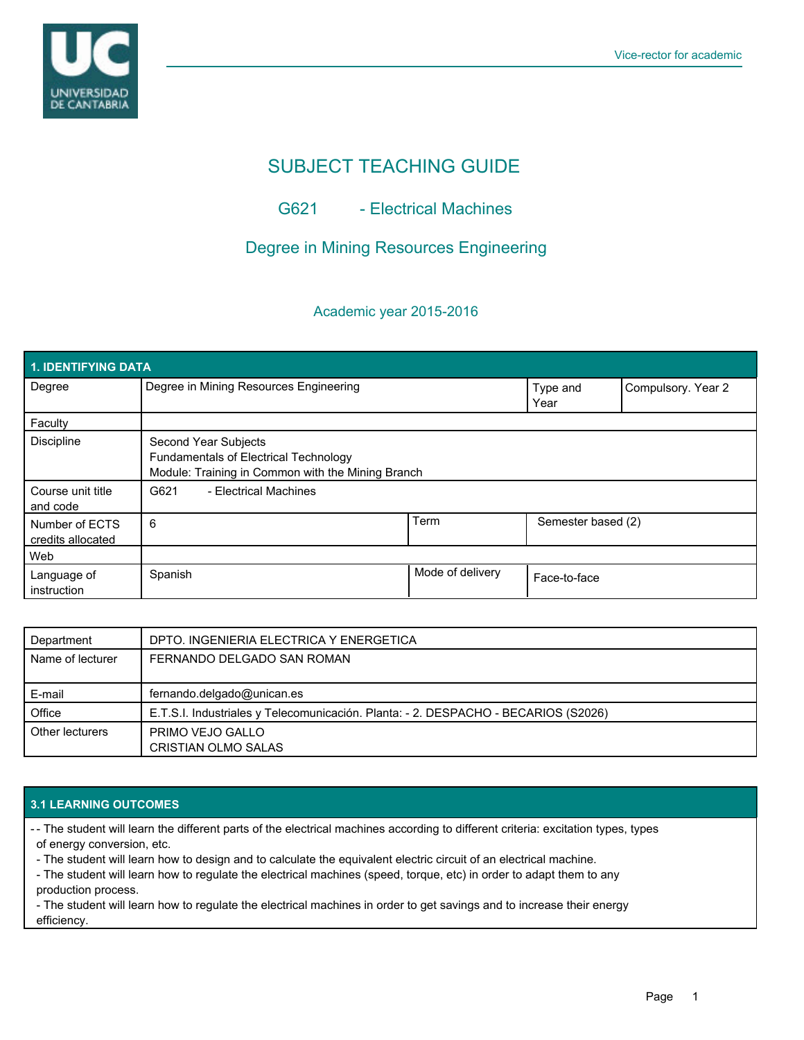

# SUBJECT TEACHING GUIDE

# G621 - Electrical Machines

# Degree in Mining Resources Engineering

## Academic year 2015-2016

| <b>1. IDENTIFYING DATA</b>          |                                                                                                                    |                  |                    |                    |  |  |  |  |
|-------------------------------------|--------------------------------------------------------------------------------------------------------------------|------------------|--------------------|--------------------|--|--|--|--|
| Degree                              | Degree in Mining Resources Engineering                                                                             |                  | Type and<br>Year   | Compulsory. Year 2 |  |  |  |  |
| Faculty                             |                                                                                                                    |                  |                    |                    |  |  |  |  |
| <b>Discipline</b>                   | Second Year Subjects<br>Fundamentals of Electrical Technology<br>Module: Training in Common with the Mining Branch |                  |                    |                    |  |  |  |  |
| Course unit title<br>and code       | - Electrical Machines<br>G621                                                                                      |                  |                    |                    |  |  |  |  |
| Number of ECTS<br>credits allocated | 6                                                                                                                  | Term             | Semester based (2) |                    |  |  |  |  |
| Web                                 |                                                                                                                    |                  |                    |                    |  |  |  |  |
| Language of<br>instruction          | Spanish                                                                                                            | Mode of delivery | Face-to-face       |                    |  |  |  |  |

| Department       | DPTO. INGENIERIA ELECTRICA Y ENERGETICA                                            |
|------------------|------------------------------------------------------------------------------------|
| Name of lecturer | FERNANDO DELGADO SAN ROMAN                                                         |
| E-mail           | fernando.delgado@unican.es                                                         |
| Office           | E.T.S.I. Industriales y Telecomunicación. Planta: - 2. DESPACHO - BECARIOS (S2026) |
| Other lecturers  | PRIMO VEJO GALLO<br><b>CRISTIAN OLMO SALAS</b>                                     |

### **3.1 LEARNING OUTCOMES**

- The student will learn the different parts of the electrical machines according to different criteria: excitation types, types of energy conversion, etc.

- The student will learn how to design and to calculate the equivalent electric circuit of an electrical machine.

- The student will learn how to regulate the electrical machines (speed, torque, etc) in order to adapt them to any production process.

- The student will learn how to regulate the electrical machines in order to get savings and to increase their energy efficiency.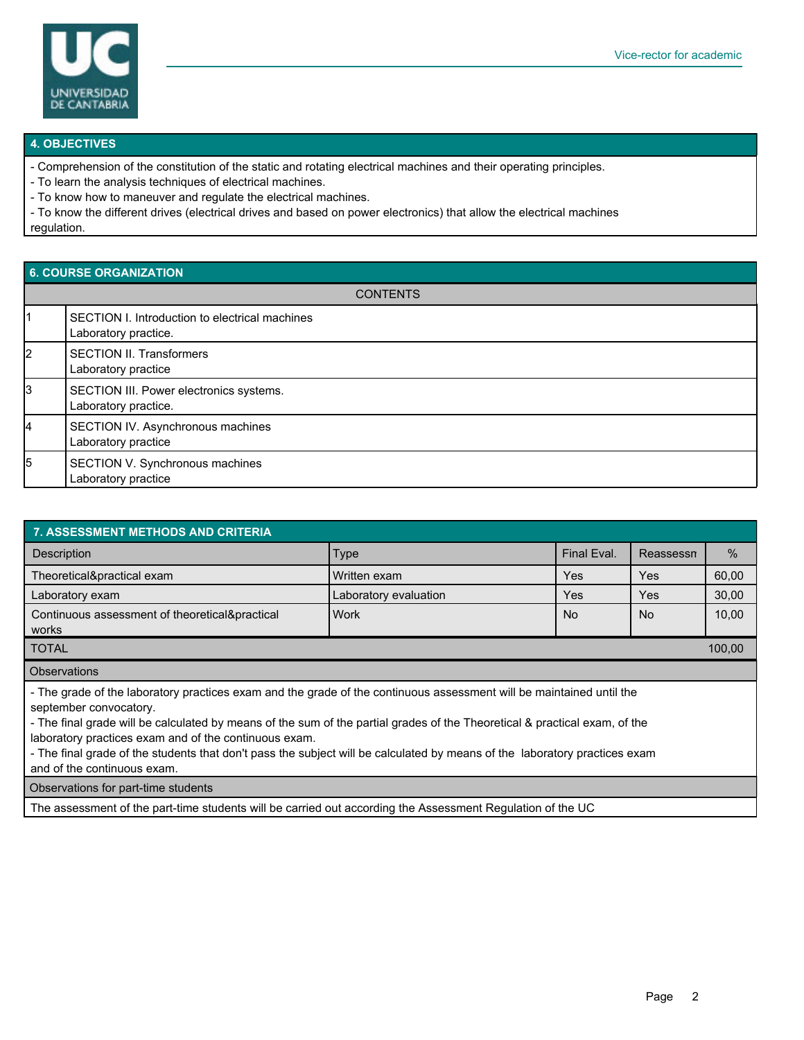

#### **4. OBJECTIVES**

- Comprehension of the constitution of the static and rotating electrical machines and their operating principles.

- To learn the analysis techniques of electrical machines.

- To know how to maneuver and regulate the electrical machines.

- To know the different drives (electrical drives and based on power electronics) that allow the electrical machines regulation.

### **6. COURSE ORGANIZATION**

| <b>CONTENTS</b> |                                                                        |  |  |  |
|-----------------|------------------------------------------------------------------------|--|--|--|
| l1              | SECTION I. Introduction to electrical machines<br>Laboratory practice. |  |  |  |
| 2               | <b>SECTION II. Transformers</b><br>Laboratory practice                 |  |  |  |
| 3               | SECTION III. Power electronics systems.<br>Laboratory practice.        |  |  |  |
| 14              | SECTION IV. Asynchronous machines<br>Laboratory practice               |  |  |  |
| 5               | SECTION V. Synchronous machines<br>Laboratory practice                 |  |  |  |

| <b>7. ASSESSMENT METHODS AND CRITERIA</b>                                                                                                                                                                                                                                                                                                                                                                                                                                                          |                       |                |           |       |  |  |  |  |
|----------------------------------------------------------------------------------------------------------------------------------------------------------------------------------------------------------------------------------------------------------------------------------------------------------------------------------------------------------------------------------------------------------------------------------------------------------------------------------------------------|-----------------------|----------------|-----------|-------|--|--|--|--|
| Description                                                                                                                                                                                                                                                                                                                                                                                                                                                                                        | <b>Type</b>           | Final Eval.    | Reassessn | $\%$  |  |  |  |  |
| Theoretical&practical exam                                                                                                                                                                                                                                                                                                                                                                                                                                                                         | Written exam          | Yes            | Yes       | 60,00 |  |  |  |  |
| Laboratory exam                                                                                                                                                                                                                                                                                                                                                                                                                                                                                    | Laboratory evaluation | Yes            | Yes       | 30,00 |  |  |  |  |
| Continuous assessment of theoretical&practical<br>works                                                                                                                                                                                                                                                                                                                                                                                                                                            | Work                  | N <sub>o</sub> | No        | 10,00 |  |  |  |  |
| <b>TOTAL</b>                                                                                                                                                                                                                                                                                                                                                                                                                                                                                       |                       |                |           |       |  |  |  |  |
| <b>Observations</b>                                                                                                                                                                                                                                                                                                                                                                                                                                                                                |                       |                |           |       |  |  |  |  |
| - The grade of the laboratory practices exam and the grade of the continuous assessment will be maintained until the<br>september convocatory.<br>- The final grade will be calculated by means of the sum of the partial grades of the Theoretical & practical exam, of the<br>laboratory practices exam and of the continuous exam.<br>- The final grade of the students that don't pass the subject will be calculated by means of the laboratory practices exam<br>and of the continuous exam. |                       |                |           |       |  |  |  |  |
| Observations for part-time students                                                                                                                                                                                                                                                                                                                                                                                                                                                                |                       |                |           |       |  |  |  |  |

The assessment of the part-time students will be carried out according the Assessment Regulation of the UC